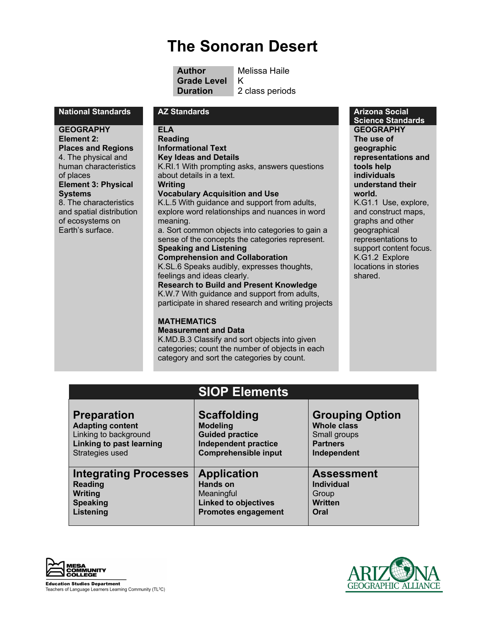# **The Sonoran Desert**

**Author** Melissa Haile **Grade Level** K **Duration** 2 class periods

#### **National Standards AZ Standards Arizona Social**

**GEOGRAPHY Element 2:**

**Places and Regions** 4. The physical and human characteristics of places **Element 3: Physical Systems**

8. The characteristics and spatial distribution of ecosystems on Earth's surface.

#### **ELA Reading**

**Informational Text Key Ideas and Details** K.RI.1 With prompting asks, answers questions about details in a text. **Writing Vocabulary Acquisition and Use** K.L.5 With guidance and support from adults,

explore word relationships and nuances in word meaning. a. Sort common objects into categories to gain a

sense of the concepts the categories represent. **Speaking and Listening**

#### **Comprehension and Collaboration** K.SL.6 Speaks audibly, expresses thoughts, feelings and ideas clearly.

**Research to Build and Present Knowledge** K.W.7 With guidance and support from adults, participate in shared research and writing projects

## **MATHEMATICS**

**Measurement and Data**

K.MD.B.3 Classify and sort objects into given categories; count the number of objects in each category and sort the categories by count.

**Science Standards GEOGRAPHY The use of geographic representations and tools help individuals understand their world.**

K.G1.1 Use, explore, and construct maps, graphs and other geographical representations to support content focus. K.G1.2 Explore locations in stories shared.

## **SIOP Elements**

| <b>Preparation</b>              | <b>Scaffolding</b>          | <b>Grouping Option</b> |
|---------------------------------|-----------------------------|------------------------|
| <b>Adapting content</b>         | <b>Modeling</b>             | <b>Whole class</b>     |
| Linking to background           | <b>Guided practice</b>      | Small groups           |
| <b>Linking to past learning</b> | <b>Independent practice</b> | <b>Partners</b>        |
| Strategies used                 | <b>Comprehensible input</b> | Independent            |
| <b>Integrating Processes</b>    | <b>Application</b>          | <b>Assessment</b>      |
| <b>Reading</b>                  | <b>Hands on</b>             | <b>Individual</b>      |
| Writing                         | Meaningful                  | Group                  |
| <b>Speaking</b>                 | <b>Linked to objectives</b> | <b>Written</b>         |
| Listening                       | <b>Promotes engagement</b>  | Oral                   |



**Education Studies Department** Teachers of Language Learners Learning Community (TL<sup>3</sup>C)

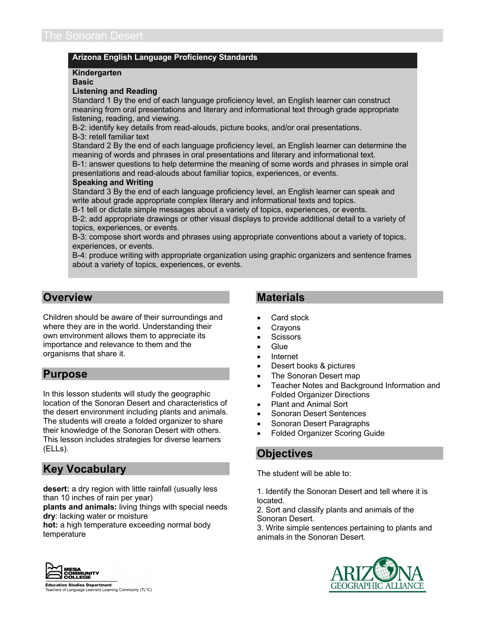## **Arizona English Language Proficiency Standards**

#### **Kindergarten**

**Basic**

#### **Listening and Reading**

Standard 1 By the end of each language proficiency level, an English learner can construct meaning from oral presentations and literary and informational text through grade appropriate listening, reading, and viewing.

B-2: identify key details from read-alouds, picture books, and/or oral presentations.

#### B-3: retell familiar text

Standard 2 By the end of each language proficiency level, an English learner can determine the meaning of words and phrases in oral presentations and literary and informational text.

B-1: answer questions to help determine the meaning of some words and phrases in simple oral presentations and read-alouds about familiar topics, experiences, or events.

#### **Speaking and Writing**

Standard 3 By the end of each language proficiency level, an English learner can speak and write about grade appropriate complex literary and informational texts and topics.

B-1 tell or dictate simple messages about a variety of topics, experiences, or events.

B-2: add appropriate drawings or other visual displays to provide additional detail to a variety of topics, experiences, or events.

B-3: compose short words and phrases using appropriate conventions about a variety of topics, experiences, or events.

B-4: produce writing with appropriate organization using graphic organizers and sentence frames about a variety of topics, experiences, or events.

## **Overview**

Children should be aware of their surroundings and where they are in the world. Understanding their own environment allows them to appreciate its importance and relevance to them and the organisms that share it.

## **Purpose**

In this lesson students will study the geographic location of the Sonoran Desert and characteristics of the desert environment including plants and animals. The students will create a folded organizer to share their knowledge of the Sonoran Desert with others. This lesson includes strategies for diverse learners (ELLs).

## **Key Vocabulary**

**desert:** a dry region with little rainfall (usually less than 10 inches of rain per year)

**plants and animals:** living things with special needs **dry**: lacking water or moisture

**hot:** a high temperature exceeding normal body temperature



## **Materials**

- Card stock
- **Crayons**
- **Scissors**
- Glue
- Internet
- Desert books & pictures
- The Sonoran Desert map
- Teacher Notes and Background Information and Folded Organizer Directions
- Plant and Animal Sort
- Sonoran Desert Sentences
- Sonoran Desert Paragraphs
- Folded Organizer Scoring Guide

## **Objectives**

The student will be able to:

1. Identify the Sonoran Desert and tell where it is located.

2. Sort and classify plants and animals of the Sonoran Desert.

3. Write simple sentences pertaining to plants and animals in the Sonoran Desert.



**Education Studies Department** Teachers of Language Learners Learning Community (TL<sup>3</sup>C)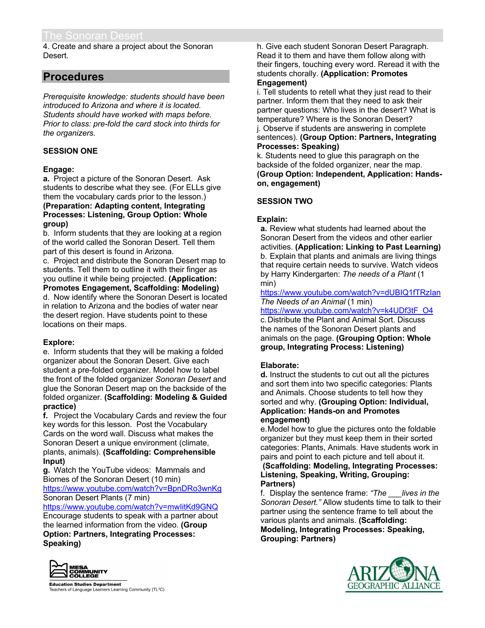4. Create and share a project about the Sonoran Desert.

## **Procedures**

*Prerequisite knowledge: students should have been introduced to Arizona and where it is located. Students should have worked with maps before. Prior to class: pre-fold the card stock into thirds for the organizers.*

## **SESSION ONE**

## **Engage:**

**a.** Project a picture of the Sonoran Desert. Ask students to describe what they see. (For ELLs give them the vocabulary cards prior to the lesson.) **(Preparation: Adapting content, Integrating Processes: Listening, Group Option: Whole group)**

b. Inform students that they are looking at a region of the world called the Sonoran Desert. Tell them part of this desert is found in Arizona.

c. Project and distribute the Sonoran Desert map to students. Tell them to outline it with their finger as you outline it while being projected. **(Application: Promotes Engagement, Scaffolding: Modeling)**

d. Now identify where the Sonoran Desert is located in relation to Arizona and the bodies of water near the desert region. Have students point to these locations on their maps.

## **Explore:**

e. Inform students that they will be making a folded organizer about the Sonoran Desert. Give each student a pre-folded organizer. Model how to label the front of the folded organizer *Sonoran Desert* and glue the Sonoran Desert map on the backside of the folded organizer. **(Scaffolding: Modeling & Guided practice)**

**f.** Project the Vocabulary Cards and review the four key words for this lesson. Post the Vocabulary Cards on the word wall. Discuss what makes the Sonoran Desert a unique environment (climate, plants, animals). **(Scaffolding: Comprehensible Input)**

**g.** Watch the YouTube videos: Mammals and Biomes of the Sonoran Desert (10 min) https://www.youtube.com/watch?v=BpnDRo3wnKg Sonoran Desert Plants (7 min)

https://www.youtube.com/watch?v=mwIitKd9GNQ Encourage students to speak with a partner about the learned information from the video. **(Group Option: Partners, Integrating Processes: Speaking)**



**Education Studies Department** Teachers of Language Learners Learning Community (TL<sup>3</sup>C) h. Give each student Sonoran Desert Paragraph. Read it to them and have them follow along with their fingers, touching every word. Reread it with the students chorally. **(Application: Promotes Engagement)**

i. Tell students to retell what they just read to their partner. Inform them that they need to ask their partner questions: Who lives in the desert? What is temperature? Where is the Sonoran Desert? j. Observe if students are answering in complete sentences). **(Group Option: Partners, Integrating Processes: Speaking)**

k. Students need to glue this paragraph on the backside of the folded organizer, near the map. **(Group Option: Independent, Application: Handson, engagement)**

## **SESSION TWO**

## **Explain:**

**a.** Review what students had learned about the Sonoran Desert from the videos and other earlier activities. **(Application: Linking to Past Learning)** b. Explain that plants and animals are living things that require certain needs to survive. Watch videos by Harry Kindergarten: *The needs of a Plant* (1 min)

https://www.youtube.com/watch?v=dUBIQ1fTRzIan *The Needs of an Animal* (1 min)

https://www.youtube.com/watch?v=k4UDf3tF\_O4

c.Distribute the Plant and Animal Sort. Discuss the names of the Sonoran Desert plants and animals on the page. **(Grouping Option: Whole group, Integrating Process: Listening)**

## **Elaborate:**

**d.** Instruct the students to cut out all the pictures and sort them into two specific categories: Plants and Animals. Choose students to tell how they sorted and why. **(Grouping Option: Individual, Application: Hands-on and Promotes engagement)**

e.Model how to glue the pictures onto the foldable organizer but they must keep them in their sorted categories: Plants, Animals. Have students work in pairs and point to each picture and tell about it.

**(Scaffolding: Modeling, Integrating Processes: Listening, Speaking, Writing, Grouping: Partners)**

f. Display the sentence frame: *"The \_\_\_lives in the Sonoran Desert."* Allow students time to talk to their partner using the sentence frame to tell about the various plants and animals. **(Scaffolding: Modeling, Integrating Processes: Speaking, Grouping: Partners)**